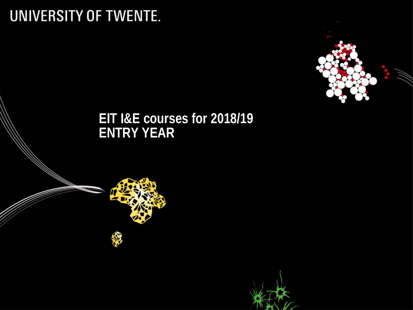# UNIVERSITY OF TWENTE.



#### **EIT I&E courses for 2018/19 ENTRY YEAR**

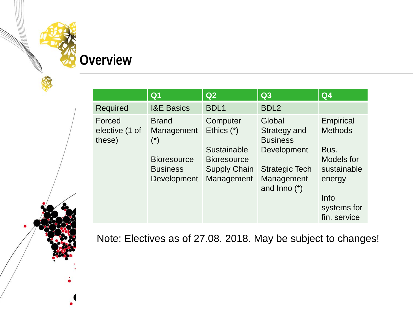## **Overview**

|                                    | Q <sub>1</sub>                                                                                              | Q2                                                                                                 | Q3                                                                                                                  | Q <sub>4</sub>                                                                                                    |
|------------------------------------|-------------------------------------------------------------------------------------------------------------|----------------------------------------------------------------------------------------------------|---------------------------------------------------------------------------------------------------------------------|-------------------------------------------------------------------------------------------------------------------|
| <b>Required</b>                    | <b>I&amp;E Basics</b>                                                                                       | <b>BDL1</b>                                                                                        | BDL <sub>2</sub>                                                                                                    |                                                                                                                   |
| Forced<br>elective (1 of<br>these) | <b>Brand</b><br>Management<br>$(\dot{\phantom{a}})$<br><b>Bioresource</b><br><b>Business</b><br>Development | Computer<br>Ethics $(*)$<br>Sustainable<br><b>Bioresource</b><br><b>Supply Chain</b><br>Management | Global<br>Strategy and<br><b>Business</b><br>Development<br><b>Strategic Tech</b><br>Management<br>and $Inno$ $(*)$ | Empirical<br><b>Methods</b><br>Bus.<br>Models for<br>sustainable<br>energy<br>Info<br>systems for<br>fin. service |

Note: Electives as of 27.08. 2018. May be subject to changes!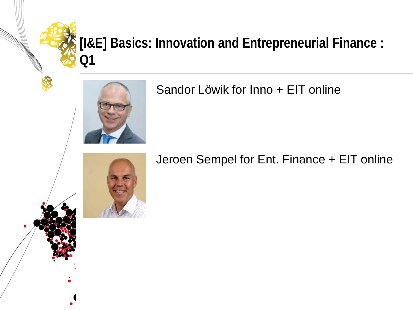## **[I&E] Basics: Innovation and Entrepreneurial Finance : Q1**



#### Sandor Löwik for Inno + EIT online

#### Jeroen Sempel for Ent. Finance + EIT online

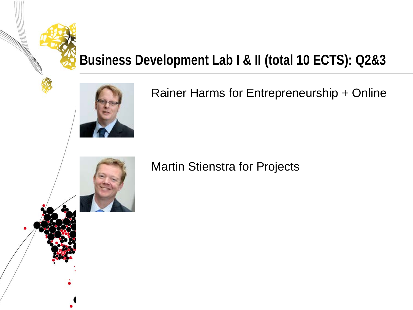# **Business Development Lab I & II (total 10 ECTS): Q2&3**



#### Rainer Harms for Entrepreneurship + Online

#### Martin Stienstra for Projects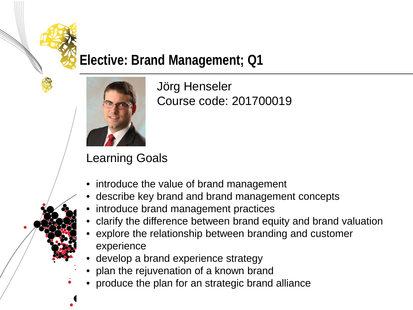#### **Elective: Brand Management; Q1**



Jörg Henseler Course code: 201700019

- introduce the value of brand management
- describe key brand and brand management concepts
- introduce brand management practices
- clarify the difference between brand equity and brand valuation
- explore the relationship between branding and customer experience
- develop a brand experience strategy
- plan the rejuvenation of a known brand
- produce the plan for an strategic brand alliance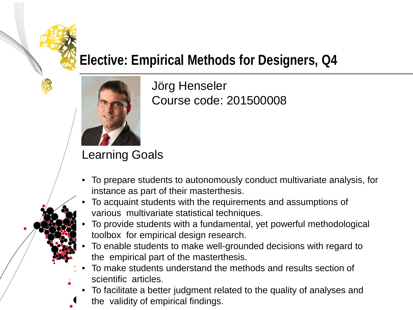## **Elective: Empirical Methods for Designers, Q4**



Jörg Henseler Course code: 201500008

- To prepare students to autonomously conduct multivariate analysis, for instance as part of their masterthesis.
- To acquaint students with the requirements and assumptions of various multivariate statistical techniques.
- To provide students with a fundamental, yet powerful methodological toolbox for empirical design research.
- To enable students to make well-grounded decisions with regard to the empirical part of the masterthesis.
- To make students understand the methods and results section of scientific articles.
- To facilitate a better judgment related to the quality of analyses and the validity of empirical findings.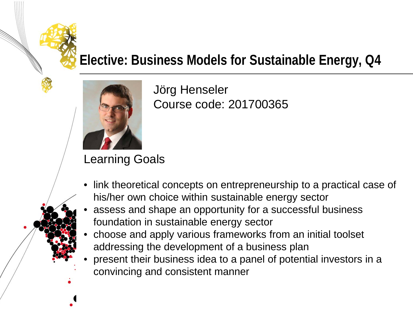# **Elective: Business Models for Sustainable Energy, Q4**



Jörg Henseler Course code: 201700365

- link theoretical concepts on entrepreneurship to a practical case of his/her own choice within sustainable energy sector
- assess and shape an opportunity for a successful business foundation in sustainable energy sector
- choose and apply various frameworks from an initial toolset addressing the development of a business plan
- present their business idea to a panel of potential investors in a convincing and consistent manner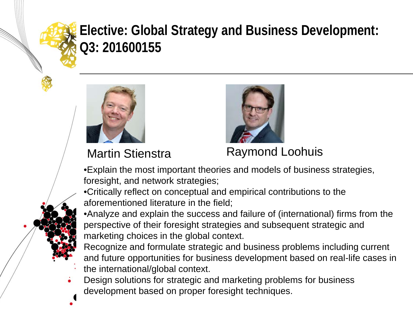## **Elective: Global Strategy and Business Development: Q3: 201600155**





Martin Stienstra **Raymond Loohuis** 

•Explain the most important theories and models of business strategies, foresight, and network strategies;

•Critically reflect on conceptual and empirical contributions to the aforementioned literature in the field;

•Analyze and explain the success and failure of (international) firms from the perspective of their foresight strategies and subsequent strategic and marketing choices in the global context.

Recognize and formulate strategic and business problems including current and future opportunities for business development based on real-life cases in the international/global context.

Design solutions for strategic and marketing problems for business development based on proper foresight techniques.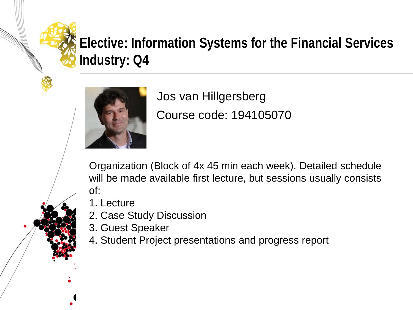# **Elective: Information Systems for the Financial Services Industry: Q4**



Course code: 194105070 Jos van Hillgersberg

Organization (Block of 4x 45 min each week). Detailed schedule will be made available first lecture, but sessions usually consists of:

- 1. Lecture
- 2. Case Study Discussion
- 3. Guest Speaker
- 4. Student Project presentations and progress report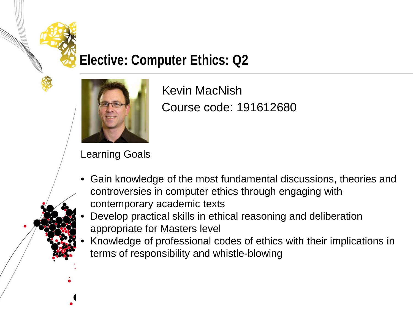#### **Elective: Computer Ethics: Q2**



Course code: 191612680 Kevin MacNish

- Gain knowledge of the most fundamental discussions, theories and controversies in computer ethics through engaging with contemporary academic texts
- Develop practical skills in ethical reasoning and deliberation appropriate for Masters level
- Knowledge of professional codes of ethics with their implications in terms of responsibility and whistle-blowing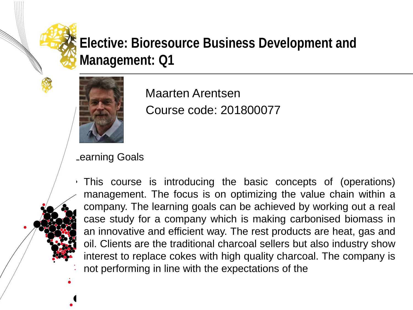# **Elective: Bioresource Business Development and Management: Q1**



Course code: 201800077 Maarten Arentsen

#### Learning Goals

• This course is introducing the basic concepts of (operations) management. The focus is on optimizing the value chain within a company. The learning goals can be achieved by working out a real case study for a company which is making carbonised biomass in an innovative and efficient way. The rest products are heat, gas and oil. Clients are the traditional charcoal sellers but also industry show interest to replace cokes with high quality charcoal. The company is not performing in line with the expectations of the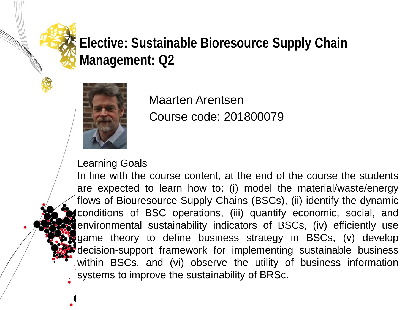## **Elective: Sustainable Bioresource Supply Chain Management: Q2**



Course code: 201800079 Maarten Arentsen

#### Learning Goals

In line with the course content, at the end of the course the students are expected to learn how to: (i) model the material/waste/energy flows of Biouresource Supply Chains (BSCs), (ii) identify the dynamic conditions of BSC operations, (iii) quantify economic, social, and environmental sustainability indicators of BSCs, (iv) efficiently use game theory to define business strategy in BSCs, (v) develop decision-support framework for implementing sustainable business within BSCs, and (vi) observe the utility of business information systems to improve the sustainability of BRSc.